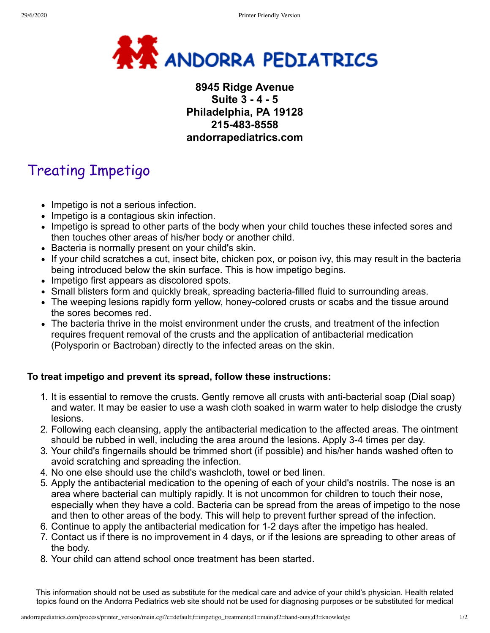

## **8945 Ridge Avenue Suite 3 - 4 - 5 Philadelphia, PA 19128 215-483-8558 andorrapediatrics.com**

## Treating Impetigo

- Impetigo is not a serious infection.
- Impetigo is a contagious skin infection.
- Impetigo is spread to other parts of the body when your child touches these infected sores and then touches other areas of his/her body or another child.
- Bacteria is normally present on your child's skin.
- If your child scratches a cut, insect bite, chicken pox, or poison ivy, this may result in the bacteria being introduced below the skin surface. This is how impetigo begins.
- Impetigo first appears as discolored spots.
- Small blisters form and quickly break, spreading bacteria-filled fluid to surrounding areas.
- The weeping lesions rapidly form yellow, honey-colored crusts or scabs and the tissue around the sores becomes red.
- The bacteria thrive in the moist environment under the crusts, and treatment of the infection requires frequent removal of the crusts and the application of antibacterial medication (Polysporin or Bactroban) directly to the infected areas on the skin.

## **To treat impetigo and prevent its spread, follow these instructions:**

- 1. It is essential to remove the crusts. Gently remove all crusts with anti-bacterial soap (Dial soap) and water. It may be easier to use a wash cloth soaked in warm water to help dislodge the crusty lesions.
- 2. Following each cleansing, apply the antibacterial medication to the affected areas. The ointment should be rubbed in well, including the area around the lesions. Apply 3-4 times per day.
- 3. Your child's fingernails should be trimmed short (if possible) and his/her hands washed often to avoid scratching and spreading the infection.
- 4. No one else should use the child's washcloth, towel or bed linen.
- 5. Apply the antibacterial medication to the opening of each of your child's nostrils. The nose is an area where bacterial can multiply rapidly. It is not uncommon for children to touch their nose, especially when they have a cold. Bacteria can be spread from the areas of impetigo to the nose and then to other areas of the body. This will help to prevent further spread of the infection.
- 6. Continue to apply the antibacterial medication for 1-2 days after the impetigo has healed.
- 7. Contact us if there is no improvement in 4 days, or if the lesions are spreading to other areas of the body.
- 8. Your child can attend school once treatment has been started.

This information should not be used as substitute for the medical care and advice of your child's physician. Health related topics found on the Andorra Pediatrics web site should not be used for diagnosing purposes or be substituted for medical